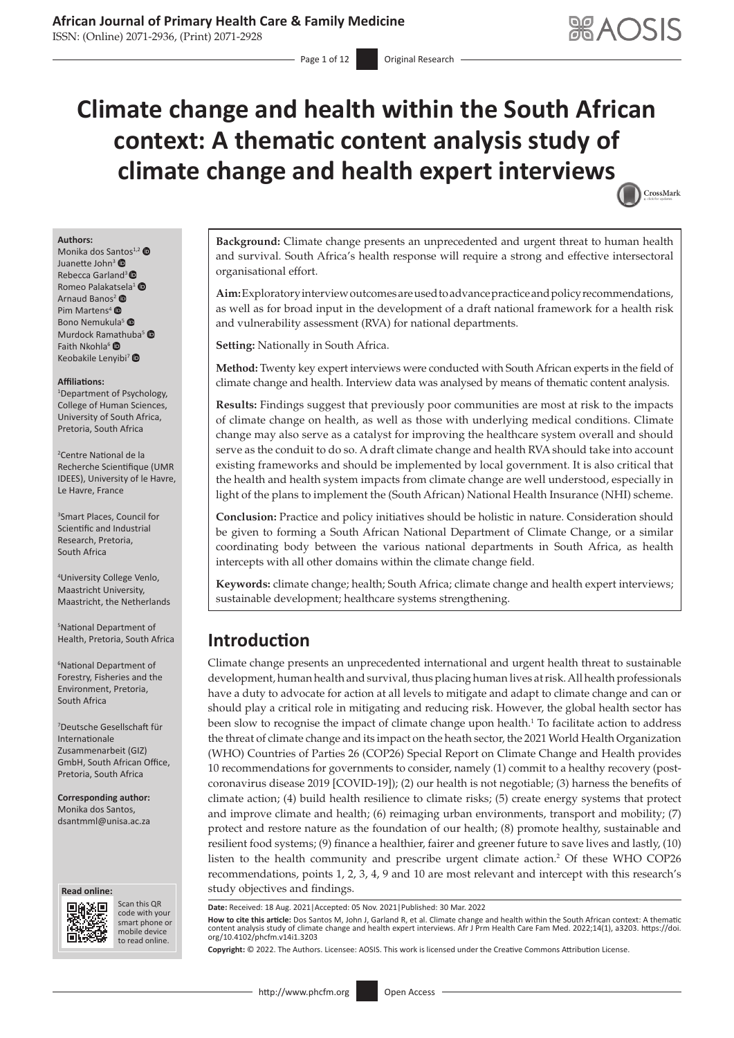ISSN: (Online) 2071-2936, (Print) 2071-2928

# **Climate change and health within the South African context: A thematic content analysis study of climate change and health expert interview[s](http://crossmark.crossref.org/dialog/?doi=10.4102/phcfm.v14i1.3203=pdf&date_stamp=2022-03-30)** CrossMark



Monika dos Sa[nto](https://orcid.org/0000-0002-3027-7444)s<sup>1,2</sup>  $\bullet$ Juanette John<sup>3</sup> Rebecca Garland<sup>3</sup> Romeo Palaka[tsela](https://orcid.org/0000-0001-5145-0843)<sup>[1](https://orcid.org/0000-0002-3408-2492)</sup> ® Arnaud Banos<sup>2</sup> Pim Martens<sup>[4](https://orcid.org/0000-0002-7489-0048)</sup> <sup>O</sup> Bono Nemukula<sup>[5](https://orcid.org/0000-0002-1197-7920)</sup> Murdock Ramathuba<sup>[5](https://orcid.org/0000-0002-4748-3922)</sup> Faith Nkohla<sup>[6](https://orcid.org/0000-0002-2164-7917)</sup> Keobakile Lenyibi<sup>[7](https://orcid.org/0000-0002-8351-081X)</sup>

#### **Affiliations:**

1 Department of Psychology, College of Human Sciences, University of South Africa, Pretoria, South Africa

2 Centre National de la Recherche Scientifique (UMR IDEES), University of le Havre, Le Havre, France

3 Smart Places, Council for Scientific and Industrial Research, Pretoria, South Africa

4 University College Venlo, Maastricht University, Maastricht, the Netherlands

5 National Department of Health, Pretoria, South Africa

6 National Department of Forestry, Fisheries and the Environment, Pretoria, South Africa

7 Deutsche Gesellschaft für Internationale Zusammenarbeit (GIZ) GmbH, South African Office, Pretoria, South Africa

**Corresponding author:** Monika dos Santos, [dsantmml@unisa.ac.za](mailto:dsantmml@unisa.ac.za)





Scan this QR code with your Scan this QR<br>code with your<br>smart phone or<br>mobile device mobile device to read online. to read online.

**Background:** Climate change presents an unprecedented and urgent threat to human health and survival. South Africa's health response will require a strong and effective intersectoral organisational effort.

**Aim:** Exploratory interview outcomes are used to advance practice and policy recommendations, as well as for broad input in the development of a draft national framework for a health risk and vulnerability assessment (RVA) for national departments.

**Setting:** Nationally in South Africa.

**Method:** Twenty key expert interviews were conducted with South African experts in the field of climate change and health. Interview data was analysed by means of thematic content analysis.

**Results:** Findings suggest that previously poor communities are most at risk to the impacts of climate change on health, as well as those with underlying medical conditions. Climate change may also serve as a catalyst for improving the healthcare system overall and should serve as the conduit to do so. A draft climate change and health RVA should take into account existing frameworks and should be implemented by local government. It is also critical that the health and health system impacts from climate change are well understood, especially in light of the plans to implement the (South African) National Health Insurance (NHI) scheme.

**Conclusion:** Practice and policy initiatives should be holistic in nature. Consideration should be given to forming a South African National Department of Climate Change, or a similar coordinating body between the various national departments in South Africa, as health intercepts with all other domains within the climate change field.

**Keywords:** climate change; health; South Africa; climate change and health expert interviews; sustainable development; healthcare systems strengthening.

# **Introduction**

<span id="page-0-0"></span>Climate change presents an unprecedented international and urgent health threat to sustainable development, human health and survival, thus placing human lives at risk. All health professionals have a duty to advocate for action at all levels to mitigate and adapt to climate change and can or should play a critical role in mitigating and reducing risk. However, the global health sector has been slow to recognise the impact of climate change upon health.<sup>[1](#page-10-0)</sup> To facilitate action to address the threat of climate change and its impact on the heath sector, the 2021 World Health Organization (WHO) Countries of Parties 26 (COP26) Special Report on Climate Change and Health provides 10 recommendations for governments to consider, namely (1) commit to a healthy recovery (postcoronavirus disease 2019 [COVID-19]); (2) our health is not negotiable; (3) harness the benefits of climate action; (4) build health resilience to climate risks; (5) create energy systems that protect and improve climate and health; (6) reimaging urban environments, transport and mobility; (7) protect and restore nature as the foundation of our health; (8) promote healthy, sustainable and resilient food systems; (9) finance a healthier, fairer and greener future to save lives and lastly, (10) listen to the health community and prescribe urgent climate action.[2](#page-10-1) Of these WHO COP26 recommendations, points 1, 2, 3, 4, 9 and 10 are most relevant and intercept with this research's study objectives and findings.

**How to cite this article:** Dos Santos M, John J, Garland R, et al. Climate change and health within the South African context: A thematic content analysis study of climate change and health expert interviews. Afr J Prm Health Care Fam Med. 2022;14(1), a3203. [https://doi.](https://doi.org/10.4102/phcfm.v14i1.3203) [org/10.4102/phcfm.v14i1.3203](https://doi.org/10.4102/phcfm.v14i1.3203)

**Copyright:** © 2022. The Authors. Licensee: AOSIS. This work is licensed under the Creative Commons Attribution License.

<span id="page-0-1"></span>**Date:** Received: 18 Aug. 2021|Accepted: 05 Nov. 2021|Published: 30 Mar. 2022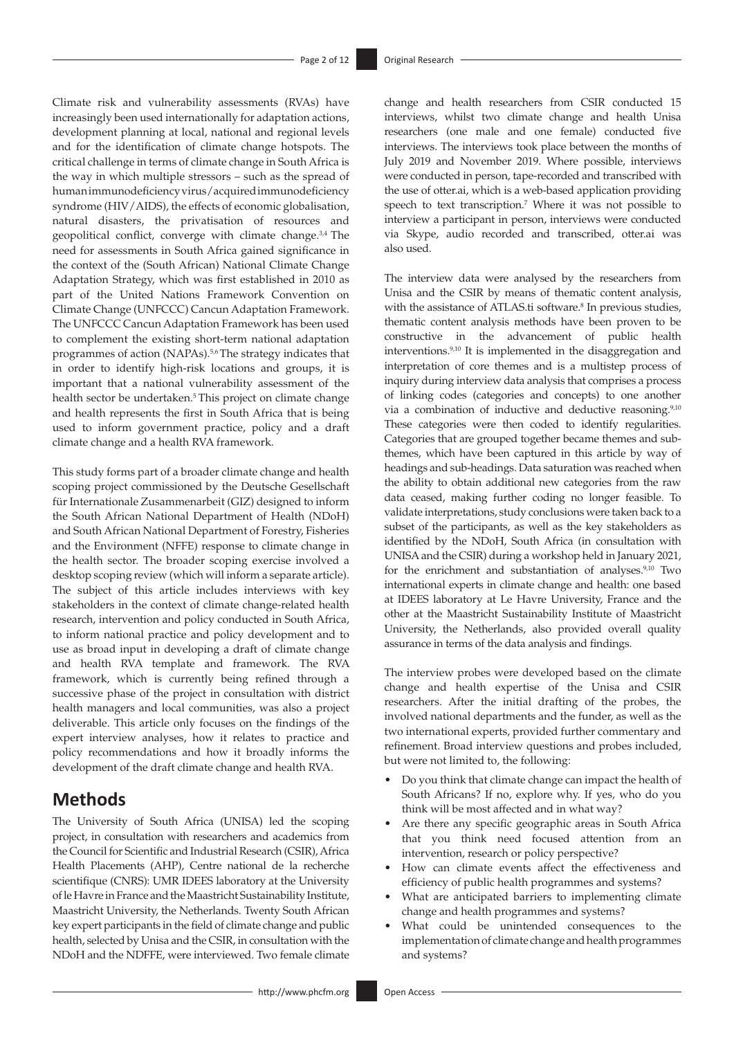<span id="page-1-0"></span>Climate risk and vulnerability assessments (RVAs) have increasingly been used internationally for adaptation actions, development planning at local, national and regional levels and for the identification of climate change hotspots. The critical challenge in terms of climate change in South Africa is the way in which multiple stressors – such as the spread of human immunodeficiency virus/acquired immunodeficiency syndrome (HIV/AIDS), the effects of economic globalisation, natural disasters, the privatisation of resources and geopolitical conflict, converge with climate change.<sup>[3,](#page-10-2)[4](#page-10-3)</sup> The need for assessments in South Africa gained significance in the context of the (South African) National Climate Change Adaptation Strategy, which was first established in 2010 as part of the United Nations Framework Convention on Climate Change (UNFCCC) Cancun Adaptation Framework. The UNFCCC Cancun Adaptation Framework has been used to complement the existing short-term national adaptation programmes of action (NAPAs).<sup>5[,6](#page-10-5)</sup>The strategy indicates that in order to identify high-risk locations and groups, it is important that a national vulnerability assessment of the health sector be undertaken.<sup>[5](#page-10-4)</sup> This project on climate change and health represents the first in South Africa that is being used to inform government practice, policy and a draft climate change and a health RVA framework.

<span id="page-1-2"></span>This study forms part of a broader climate change and health scoping project commissioned by the Deutsche Gesellschaft für Internationale Zusammenarbeit (GIZ) designed to inform the South African National Department of Health (NDoH) and South African National Department of Forestry, Fisheries and the Environment (NFFE) response to climate change in the health sector. The broader scoping exercise involved a desktop scoping review (which will inform a separate article). The subject of this article includes interviews with key stakeholders in the context of climate change-related health research, intervention and policy conducted in South Africa, to inform national practice and policy development and to use as broad input in developing a draft of climate change and health RVA template and framework. The RVA framework, which is currently being refined through a successive phase of the project in consultation with district health managers and local communities, was also a project deliverable. This article only focuses on the findings of the expert interview analyses, how it relates to practice and policy recommendations and how it broadly informs the development of the draft climate change and health RVA.

# **Methods**

The University of South Africa (UNISA) led the scoping project, in consultation with researchers and academics from the Council for Scientific and Industrial Research (CSIR), Africa Health Placements (AHP), Centre national de la recherche scientifique (CNRS): UMR IDEES laboratory at the University of le Havre in France and the Maastricht Sustainability Institute, Maastricht University, the Netherlands. Twenty South African key expert participants in the field of climate change and public health, selected by Unisa and the CSIR, in consultation with the NDoH and the NDFFE, were interviewed. Two female climate change and health researchers from CSIR conducted 15 interviews, whilst two climate change and health Unisa researchers (one male and one female) conducted five interviews. The interviews took place between the months of July 2019 and November 2019. Where possible, interviews were conducted in person, tape-recorded and transcribed with the use of [otter.ai](http://otter.ai), which is a web-based application providing speech to text transcription.<sup>7</sup> Where it was not possible to interview a participant in person, interviews were conducted via Skype, audio recorded and transcribed, [otter.ai](http://otter.ai) was also used.

<span id="page-1-7"></span><span id="page-1-6"></span><span id="page-1-5"></span><span id="page-1-4"></span><span id="page-1-3"></span><span id="page-1-1"></span>The interview data were analysed by the researchers from Unisa and the CSIR by means of thematic content analysis, with the assistance of [ATLAS.ti](http://ATLAS.ti) software.<sup>8</sup> In previous studies, thematic content analysis methods have been proven to be constructive in the advancement of public health interventions[.9,](#page-10-8)[10](#page-10-9) It is implemented in the disaggregation and interpretation of core themes and is a multistep process of inquiry during interview data analysis that comprises a process of linking codes (categories and concepts) to one another via a combination of inductive and deductive reasoning.<sup>[9](#page-10-8),[10](#page-10-9)</sup> These categories were then coded to identify regularities. Categories that are grouped together became themes and subthemes, which have been captured in this article by way of headings and sub-headings. Data saturation was reached when the ability to obtain additional new categories from the raw data ceased, making further coding no longer feasible. To validate interpretations, study conclusions were taken back to a subset of the participants, as well as the key stakeholders as identified by the NDoH, South Africa (in consultation with UNISA and the CSIR) during a workshop held in January 2021, for the enrichment and substantiation of analyses.<sup>9,10</sup> Two international experts in climate change and health: one based at IDEES laboratory at Le Havre University, France and the other at the Maastricht Sustainability Institute of Maastricht University, the Netherlands, also provided overall quality assurance in terms of the data analysis and findings.

The interview probes were developed based on the climate change and health expertise of the Unisa and CSIR researchers. After the initial drafting of the probes, the involved national departments and the funder, as well as the two international experts, provided further commentary and refinement. Broad interview questions and probes included, but were not limited to, the following:

- Do you think that climate change can impact the health of South Africans? If no, explore why. If yes, who do you think will be most affected and in what way?
- Are there any specific geographic areas in South Africa that you think need focused attention from an intervention, research or policy perspective?
- How can climate events affect the effectiveness and efficiency of public health programmes and systems?
- What are anticipated barriers to implementing climate change and health programmes and systems?
- What could be unintended consequences to the implementation of climate change and health programmes and systems?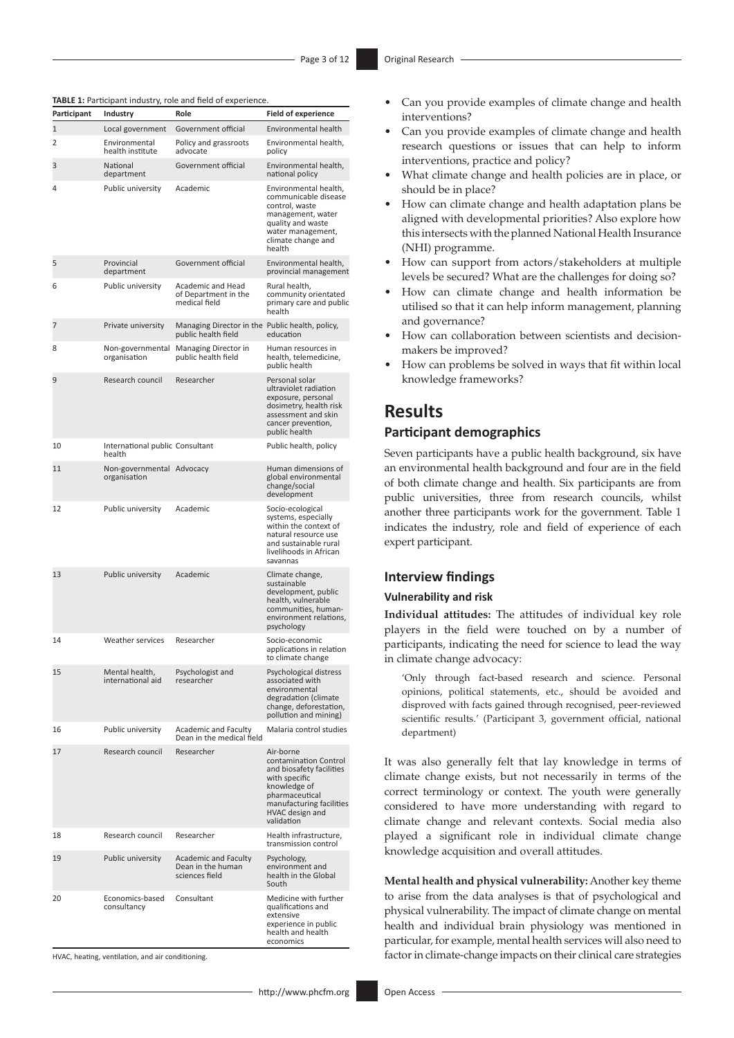| Participant  | Industry                                  | Role                                                                   | <b>Field of experience</b>                                                                                                                                                     |
|--------------|-------------------------------------------|------------------------------------------------------------------------|--------------------------------------------------------------------------------------------------------------------------------------------------------------------------------|
| $\mathbf{1}$ | Local government                          | Government official                                                    | Environmental health                                                                                                                                                           |
| 2            | Environmental<br>health institute         | Policy and grassroots<br>advocate                                      | Environmental health,<br>policy                                                                                                                                                |
| 3            | National<br>department                    | Government official                                                    | Environmental health,<br>national policy                                                                                                                                       |
| 4            | Public university                         | Academic                                                               | Environmental health,<br>communicable disease<br>control, waste<br>management, water<br>quality and waste<br>water management,<br>climate change and<br>health                 |
| 5            | Provincial<br>department                  | Government official                                                    | Environmental health.<br>provincial management                                                                                                                                 |
| 6            | Public university                         | Academic and Head<br>of Department in the<br>medical field             | Rural health,<br>community orientated<br>primary care and public<br>health                                                                                                     |
| 7            | Private university                        | Managing Director in the Public health, policy,<br>public health field | education                                                                                                                                                                      |
| 8            | Non-governmental<br>organisation          | Managing Director in<br>public health field                            | Human resources in<br>health, telemedicine,<br>public health                                                                                                                   |
| 9            | Research council                          | Researcher                                                             | Personal solar<br>ultraviolet radiation<br>exposure, personal<br>dosimetry, health risk<br>assessment and skin<br>cancer prevention,<br>public health                          |
| 10           | International public Consultant<br>health |                                                                        | Public health, policy                                                                                                                                                          |
| 11           | Non-governmental Advocacy<br>organisation |                                                                        | Human dimensions of<br>global environmental<br>change/social<br>development                                                                                                    |
| 12           | Public university                         | Academic                                                               | Socio-ecological<br>systems, especially<br>within the context of<br>natural resource use<br>and sustainable rural<br>livelihoods in African<br>savannas                        |
| 13           | <b>Public university</b>                  | Academic                                                               | Climate change,<br>sustainable<br>development, public<br>health, vulnerable<br>communities, human-<br>environment relations,<br>psychology                                     |
| 14           | Weather services                          | Researcher                                                             | Socio-economic<br>applications in relation<br>to climate change                                                                                                                |
| 15           | Mental health,<br>international aid       | Psychologist and<br>researcher                                         | Psychological distress<br>associated with<br>environmental<br>degradation (climate<br>change, deforestation,<br>pollution and mining)                                          |
| 16           | Public university                         | <b>Academic and Faculty</b><br>Dean in the medical field               | Malaria control studies                                                                                                                                                        |
| 17           | Research council                          | Researcher                                                             | Air-borne<br>contamination Control<br>and biosafety facilities<br>with specific<br>knowledge of<br>pharmaceutical<br>manufacturing facilities<br>HVAC design and<br>validation |
| 18           | Research council                          | Researcher                                                             | Health infrastructure,<br>transmission control                                                                                                                                 |
| 19           | Public university                         | <b>Academic and Faculty</b><br>Dean in the human<br>sciences field     | Psychology,<br>environment and<br>health in the Global<br>South                                                                                                                |
| 20           | Economics-based<br>consultancy            | Consultant                                                             | Medicine with further<br>qualifications and<br>extensive<br>experience in public<br>health and health<br>economics                                                             |

HVAC, heating, ventilation, and air conditioning.

- Can you provide examples of climate change and health interventions?
- Can you provide examples of climate change and health research questions or issues that can help to inform interventions, practice and policy?
- What climate change and health policies are in place, or should be in place?
- How can climate change and health adaptation plans be aligned with developmental priorities? Also explore how this intersects with the planned National Health Insurance (NHI) programme.
- How can support from actors/stakeholders at multiple levels be secured? What are the challenges for doing so?
- How can climate change and health information be utilised so that it can help inform management, planning and governance?
- How can collaboration between scientists and decisionmakers be improved?
- How can problems be solved in ways that fit within local knowledge frameworks?

### **Results**

#### **Participant demographics**

Seven participants have a public health background, six have an environmental health background and four are in the field of both climate change and health. Six participants are from public universities, three from research councils, whilst another three participants work for the government. Table 1 indicates the industry, role and field of experience of each expert participant.

#### **Interview findings**

#### **Vulnerability and risk**

**Individual attitudes:** The attitudes of individual key role players in the field were touched on by a number of participants, indicating the need for science to lead the way in climate change advocacy:

'Only through fact-based research and science. Personal opinions, political statements, etc., should be avoided and disproved with facts gained through recognised, peer-reviewed scientific results.' (Participant 3, government official, national department)

It was also generally felt that lay knowledge in terms of climate change exists, but not necessarily in terms of the correct terminology or context. The youth were generally considered to have more understanding with regard to climate change and relevant contexts. Social media also played a significant role in individual climate change knowledge acquisition and overall attitudes.

**Mental health and physical vulnerability:** Another key theme to arise from the data analyses is that of psychological and physical vulnerability. The impact of climate change on mental health and individual brain physiology was mentioned in particular, for example, mental health services will also need to factor in climate-change impacts on their clinical care strategies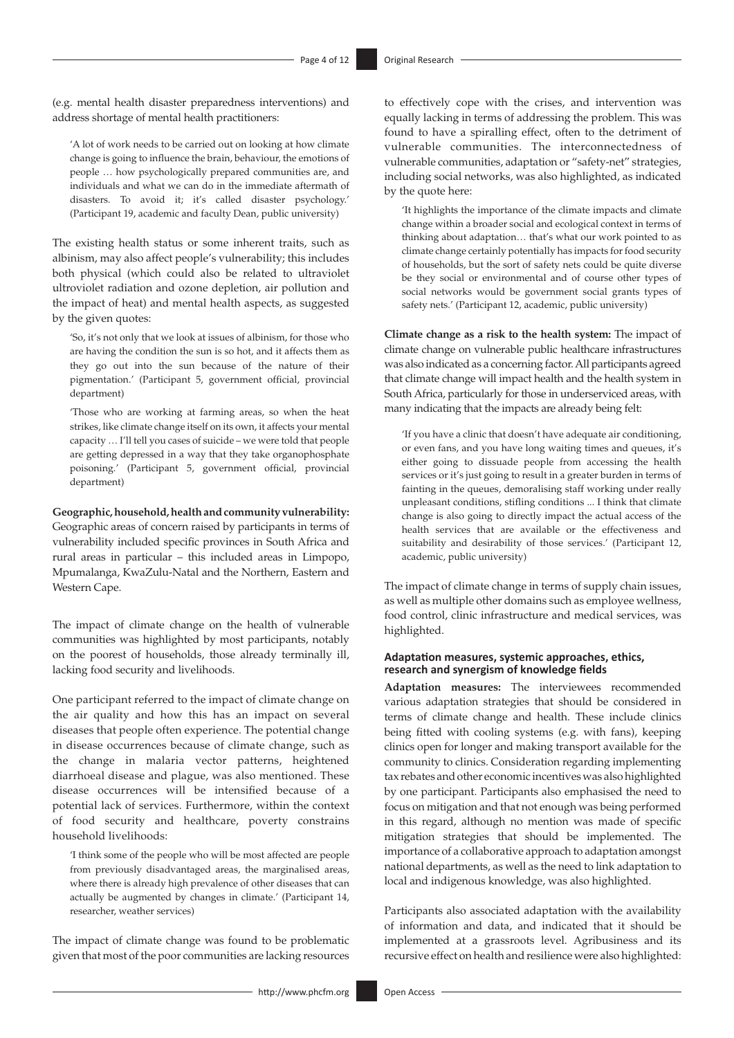(e.g. mental health disaster preparedness interventions) and address shortage of mental health practitioners:

'A lot of work needs to be carried out on looking at how climate change is going to influence the brain, behaviour, the emotions of people … how psychologically prepared communities are, and individuals and what we can do in the immediate aftermath of disasters. To avoid it; it's called disaster psychology.' (Participant 19, academic and faculty Dean, public university)

The existing health status or some inherent traits, such as albinism, may also affect people's vulnerability; this includes both physical (which could also be related to ultraviolet ultroviolet radiation and ozone depletion, air pollution and the impact of heat) and mental health aspects, as suggested by the given quotes:

'So, it's not only that we look at issues of albinism, for those who are having the condition the sun is so hot, and it affects them as they go out into the sun because of the nature of their pigmentation.' (Participant 5, government official, provincial department)

'Those who are working at farming areas, so when the heat strikes, like climate change itself on its own, it affects your mental capacity … I'll tell you cases of suicide – we were told that people are getting depressed in a way that they take organophosphate poisoning.' (Participant 5, government official, provincial department)

**Geographic, household, health and community vulnerability:**

Geographic areas of concern raised by participants in terms of vulnerability included specific provinces in South Africa and rural areas in particular – this included areas in Limpopo, Mpumalanga, KwaZulu-Natal and the Northern, Eastern and Western Cape.

The impact of climate change on the health of vulnerable communities was highlighted by most participants, notably on the poorest of households, those already terminally ill, lacking food security and livelihoods.

One participant referred to the impact of climate change on the air quality and how this has an impact on several diseases that people often experience. The potential change in disease occurrences because of climate change, such as the change in malaria vector patterns, heightened diarrhoeal disease and plague, was also mentioned. These disease occurrences will be intensified because of a potential lack of services. Furthermore, within the context of food security and healthcare, poverty constrains household livelihoods:

'I think some of the people who will be most affected are people from previously disadvantaged areas, the marginalised areas, where there is already high prevalence of other diseases that can actually be augmented by changes in climate.' (Participant 14, researcher, weather services)

The impact of climate change was found to be problematic given that most of the poor communities are lacking resources

to effectively cope with the crises, and intervention was equally lacking in terms of addressing the problem. This was found to have a spiralling effect, often to the detriment of vulnerable communities. The interconnectedness of vulnerable communities, adaptation or "safety-net" strategies, including social networks, was also highlighted, as indicated by the quote here:

'It highlights the importance of the climate impacts and climate change within a broader social and ecological context in terms of thinking about adaptation… that's what our work pointed to as climate change certainly potentially has impacts for food security of households, but the sort of safety nets could be quite diverse be they social or environmental and of course other types of social networks would be government social grants types of safety nets.' (Participant 12, academic, public university)

**Climate change as a risk to the health system:** The impact of climate change on vulnerable public healthcare infrastructures was also indicated as a concerning factor. All participants agreed that climate change will impact health and the health system in South Africa, particularly for those in underserviced areas, with many indicating that the impacts are already being felt:

'If you have a clinic that doesn't have adequate air conditioning, or even fans, and you have long waiting times and queues, it's either going to dissuade people from accessing the health services or it's just going to result in a greater burden in terms of fainting in the queues, demoralising staff working under really unpleasant conditions, stifling conditions ... I think that climate change is also going to directly impact the actual access of the health services that are available or the effectiveness and suitability and desirability of those services.' (Participant 12, academic, public university)

The impact of climate change in terms of supply chain issues, as well as multiple other domains such as employee wellness, food control, clinic infrastructure and medical services, was highlighted.

#### **Adaptation measures, systemic approaches, ethics, research and synergism of knowledge fields**

**Adaptation measures:** The interviewees recommended various adaptation strategies that should be considered in terms of climate change and health. These include clinics being fitted with cooling systems (e.g. with fans), keeping clinics open for longer and making transport available for the community to clinics. Consideration regarding implementing tax rebates and other economic incentives was also highlighted by one participant. Participants also emphasised the need to focus on mitigation and that not enough was being performed in this regard, although no mention was made of specific mitigation strategies that should be implemented. The importance of a collaborative approach to adaptation amongst national departments, as well as the need to link adaptation to local and indigenous knowledge, was also highlighted.

Participants also associated adaptation with the availability of information and data, and indicated that it should be implemented at a grassroots level. Agribusiness and its recursive effect on health and resilience were also highlighted: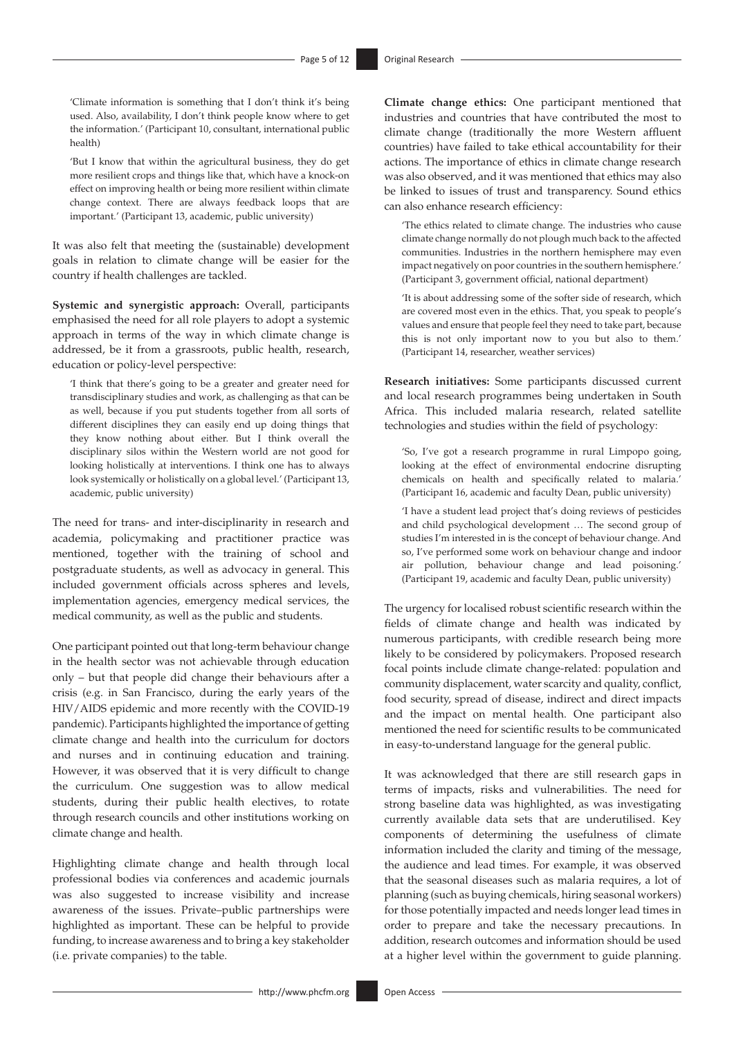'Climate information is something that I don't think it's being used. Also, availability, I don't think people know where to get the information.' (Participant 10, consultant, international public health)

'But I know that within the agricultural business, they do get more resilient crops and things like that, which have a knock-on effect on improving health or being more resilient within climate change context. There are always feedback loops that are important.' (Participant 13, academic, public university)

It was also felt that meeting the (sustainable) development goals in relation to climate change will be easier for the country if health challenges are tackled.

**Systemic and synergistic approach:** Overall, participants emphasised the need for all role players to adopt a systemic approach in terms of the way in which climate change is addressed, be it from a grassroots, public health, research, education or policy-level perspective:

'I think that there's going to be a greater and greater need for transdisciplinary studies and work, as challenging as that can be as well, because if you put students together from all sorts of different disciplines they can easily end up doing things that they know nothing about either. But I think overall the disciplinary silos within the Western world are not good for looking holistically at interventions. I think one has to always look systemically or holistically on a global level.' (Participant 13, academic, public university)

The need for trans- and inter-disciplinarity in research and academia, policymaking and practitioner practice was mentioned, together with the training of school and postgraduate students, as well as advocacy in general. This included government officials across spheres and levels, implementation agencies, emergency medical services, the medical community, as well as the public and students.

One participant pointed out that long-term behaviour change in the health sector was not achievable through education only – but that people did change their behaviours after a crisis (e.g. in San Francisco, during the early years of the HIV/AIDS epidemic and more recently with the COVID-19 pandemic). Participants highlighted the importance of getting climate change and health into the curriculum for doctors and nurses and in continuing education and training. However, it was observed that it is very difficult to change the curriculum. One suggestion was to allow medical students, during their public health electives, to rotate through research councils and other institutions working on climate change and health.

Highlighting climate change and health through local professional bodies via conferences and academic journals was also suggested to increase visibility and increase awareness of the issues. Private–public partnerships were highlighted as important. These can be helpful to provide funding, to increase awareness and to bring a key stakeholder (i.e. private companies) to the table.

**Climate change ethics:** One participant mentioned that industries and countries that have contributed the most to climate change (traditionally the more Western affluent countries) have failed to take ethical accountability for their actions. The importance of ethics in climate change research was also observed, and it was mentioned that ethics may also be linked to issues of trust and transparency. Sound ethics can also enhance research efficiency:

'The ethics related to climate change. The industries who cause climate change normally do not plough much back to the affected communities. Industries in the northern hemisphere may even impact negatively on poor countries in the southern hemisphere.' (Participant 3, government official, national department)

'It is about addressing some of the softer side of research, which are covered most even in the ethics. That, you speak to people's values and ensure that people feel they need to take part, because this is not only important now to you but also to them.' (Participant 14, researcher, weather services)

**Research initiatives:** Some participants discussed current and local research programmes being undertaken in South Africa. This included malaria research, related satellite technologies and studies within the field of psychology:

'So, I've got a research programme in rural Limpopo going, looking at the effect of environmental endocrine disrupting chemicals on health and specifically related to malaria.' (Participant 16, academic and faculty Dean, public university)

'I have a student lead project that's doing reviews of pesticides and child psychological development … The second group of studies I'm interested in is the concept of behaviour change. And so, I've performed some work on behaviour change and indoor air pollution, behaviour change and lead poisoning.' (Participant 19, academic and faculty Dean, public university)

The urgency for localised robust scientific research within the fields of climate change and health was indicated by numerous participants, with credible research being more likely to be considered by policymakers. Proposed research focal points include climate change-related: population and community displacement, water scarcity and quality, conflict, food security, spread of disease, indirect and direct impacts and the impact on mental health. One participant also mentioned the need for scientific results to be communicated in easy-to-understand language for the general public.

It was acknowledged that there are still research gaps in terms of impacts, risks and vulnerabilities. The need for strong baseline data was highlighted, as was investigating currently available data sets that are underutilised. Key components of determining the usefulness of climate information included the clarity and timing of the message, the audience and lead times. For example, it was observed that the seasonal diseases such as malaria requires, a lot of planning (such as buying chemicals, hiring seasonal workers) for those potentially impacted and needs longer lead times in order to prepare and take the necessary precautions. In addition, research outcomes and information should be used at a higher level within the government to guide planning.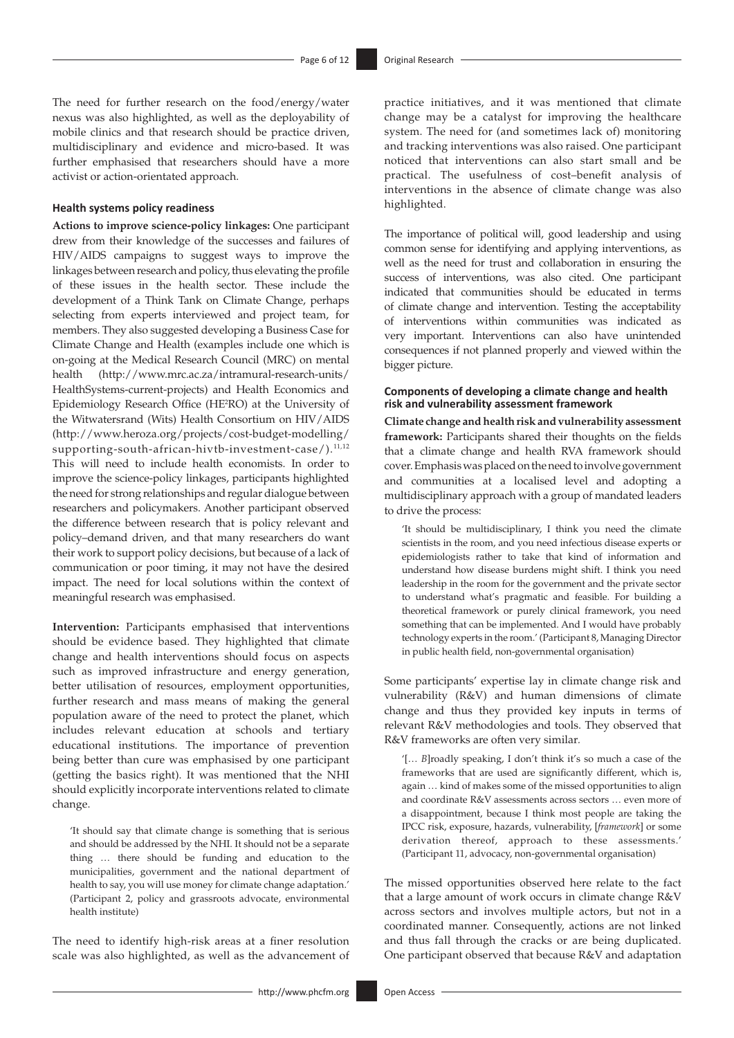The need for further research on the food/energy/water nexus was also highlighted, as well as the deployability of mobile clinics and that research should be practice driven, multidisciplinary and evidence and micro-based. It was further emphasised that researchers should have a more activist or action-orientated approach.

#### **Health systems policy readiness**

**Actions to improve science-policy linkages:** One participant drew from their knowledge of the successes and failures of HIV/AIDS campaigns to suggest ways to improve the linkages between research and policy, thus elevating the profile of these issues in the health sector. These include the development of a Think Tank on Climate Change, perhaps selecting from experts interviewed and project team, for members. They also suggested developing a Business Case for Climate Change and Health (examples include one which is on-going at the Medical Research Council (MRC) on mental health [\(http://www.mrc.ac.za/intramural-research-units/](http://www.mrc.ac.za/intramural-research-units/HealthSystems-current-projects) [HealthSystems-current-projects\)](http://www.mrc.ac.za/intramural-research-units/HealthSystems-current-projects) and Health Economics and Epidemiology Research Office (HE2 RO) at the University of the Witwatersrand (Wits) Health Consortium on HIV/AIDS ([http://www.heroza.org/projects/cost-budget-modelling/](http://www.heroza.org/projects/cost-budget-modelling/supporting-south-african-hivtb-investment-case/).11,12) [supporting-south-african-hivtb-investment-case/\).](http://www.heroza.org/projects/cost-budget-modelling/supporting-south-african-hivtb-investment-case/).11,12)<sup>[11](#page-10-10),[12](#page-10-11)</sup> This will need to include health economists. In order to improve the science-policy linkages, participants highlighted the need for strong relationships and regular dialogue between researchers and policymakers. Another participant observed the difference between research that is policy relevant and policy–demand driven, and that many researchers do want their work to support policy decisions, but because of a lack of communication or poor timing, it may not have the desired impact. The need for local solutions within the context of meaningful research was emphasised.

<span id="page-5-0"></span>**Intervention:** Participants emphasised that interventions should be evidence based. They highlighted that climate change and health interventions should focus on aspects such as improved infrastructure and energy generation, better utilisation of resources, employment opportunities, further research and mass means of making the general population aware of the need to protect the planet, which includes relevant education at schools and tertiary educational institutions. The importance of prevention being better than cure was emphasised by one participant (getting the basics right). It was mentioned that the NHI should explicitly incorporate interventions related to climate change.

'It should say that climate change is something that is serious and should be addressed by the NHI. It should not be a separate thing … there should be funding and education to the municipalities, government and the national department of health to say, you will use money for climate change adaptation.' (Participant 2, policy and grassroots advocate, environmental health institute)

The need to identify high-risk areas at a finer resolution scale was also highlighted, as well as the advancement of practice initiatives, and it was mentioned that climate change may be a catalyst for improving the healthcare system. The need for (and sometimes lack of) monitoring and tracking interventions was also raised. One participant noticed that interventions can also start small and be practical. The usefulness of cost–benefit analysis of interventions in the absence of climate change was also highlighted.

The importance of political will, good leadership and using common sense for identifying and applying interventions, as well as the need for trust and collaboration in ensuring the success of interventions, was also cited. One participant indicated that communities should be educated in terms of climate change and intervention. Testing the acceptability of interventions within communities was indicated as very important. Interventions can also have unintended consequences if not planned properly and viewed within the bigger picture.

#### **Components of developing a climate change and health risk and vulnerability assessment framework**

**Climate change and health risk and vulnerability assessment framework:** Participants shared their thoughts on the fields that a climate change and health RVA framework should cover. Emphasis was placed on the need to involve government and communities at a localised level and adopting a multidisciplinary approach with a group of mandated leaders to drive the process:

<span id="page-5-1"></span>'It should be multidisciplinary, I think you need the climate scientists in the room, and you need infectious disease experts or epidemiologists rather to take that kind of information and understand how disease burdens might shift. I think you need leadership in the room for the government and the private sector to understand what's pragmatic and feasible. For building a theoretical framework or purely clinical framework, you need something that can be implemented. And I would have probably technology experts in the room.' (Participant 8, Managing Director in public health field, non-governmental organisation)

Some participants' expertise lay in climate change risk and vulnerability (R&V) and human dimensions of climate change and thus they provided key inputs in terms of relevant R&V methodologies and tools. They observed that R&V frameworks are often very similar*.* 

'[… *B*]roadly speaking, I don't think it's so much a case of the frameworks that are used are significantly different, which is, again … kind of makes some of the missed opportunities to align and coordinate R&V assessments across sectors … even more of a disappointment, because I think most people are taking the IPCC risk, exposure, hazards, vulnerability, [*framework*] or some derivation thereof, approach to these assessments.' (Participant 11, advocacy, non-governmental organisation)

The missed opportunities observed here relate to the fact that a large amount of work occurs in climate change R&V across sectors and involves multiple actors, but not in a coordinated manner. Consequently, actions are not linked and thus fall through the cracks or are being duplicated. One participant observed that because R&V and adaptation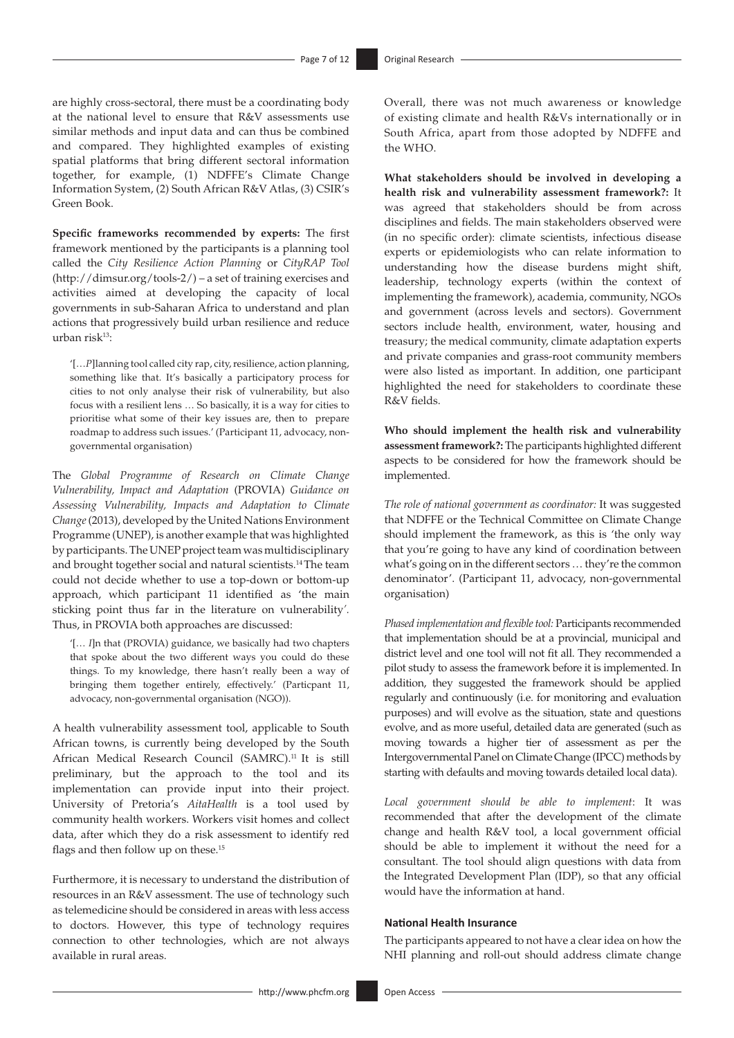are highly cross-sectoral, there must be a coordinating body at the national level to ensure that R&V assessments use similar methods and input data and can thus be combined and compared. They highlighted examples of existing spatial platforms that bring different sectoral information together, for example, (1) NDFFE's Climate Change Information System, (2) South African R&V Atlas, (3) CSIR's Green Book.

**Specific frameworks recommended by experts:** The first framework mentioned by the participants is a planning tool called the *City Resilience Action Planning* or *CityRAP Tool* ([http://dimsur.org/tools-2/\)](http://dimsur.org/tools-2/) – a set of training exercises and activities aimed at developing the capacity of local governments in sub-Saharan Africa to understand and plan actions that progressively build urban resilience and reduce urban ris[k13:](#page-10-12)

<span id="page-6-0"></span>'[…*P*]lanning tool called city rap, city, resilience, action planning, something like that. It's basically a participatory process for cities to not only analyse their risk of vulnerability, but also focus with a resilient lens … So basically, it is a way for cities to prioritise what some of their key issues are, then to prepare roadmap to address such issues.' (Participant 11, advocacy, nongovernmental organisation)

The *Global Programme of Research on Climate Change Vulnerability, Impact and Adaptation* (PROVIA) *Guidance on Assessing Vulnerability, Impacts and Adaptation to Climate Change* (2013), developed by the United Nations Environment Programme (UNEP), is another example that was highlighted by participants. The UNEP project team was multidisciplinary and brought together social and natural scientists[.14](#page-10-13)The team could not decide whether to use a top-down or bottom-up approach, which participant 11 identified as 'the main sticking point thus far in the literature on vulnerability*'.* Thus, in PROVIA both approaches are discussed:

<span id="page-6-1"></span>'[… *I*]n that (PROVIA) guidance, we basically had two chapters that spoke about the two different ways you could do these things. To my knowledge, there hasn't really been a way of bringing them together entirely, effectively.' (Particpant 11, advocacy, non-governmental organisation (NGO)).

A health vulnerability assessment tool, applicable to South African towns, is currently being developed by the South African Medical Research Council (SAMRC).<sup>11</sup> It is still preliminary, but the approach to the tool and its implementation can provide input into their project. University of Pretoria's *AitaHealth* is a tool used by community health workers. Workers visit homes and collect data, after which they do a risk assessment to identify red flags and then follow up on these.<sup>15</sup>

<span id="page-6-2"></span>Furthermore, it is necessary to understand the distribution of resources in an R&V assessment. The use of technology such as telemedicine should be considered in areas with less access to doctors. However, this type of technology requires connection to other technologies, which are not always available in rural areas.

Overall, there was not much awareness or knowledge of existing climate and health R&Vs internationally or in South Africa, apart from those adopted by NDFFE and the WHO.

**What stakeholders should be involved in developing a health risk and vulnerability assessment framework?:** It was agreed that stakeholders should be from across disciplines and fields. The main stakeholders observed were (in no specific order): climate scientists, infectious disease experts or epidemiologists who can relate information to understanding how the disease burdens might shift, leadership, technology experts (within the context of implementing the framework), academia, community, NGOs and government (across levels and sectors). Government sectors include health, environment, water, housing and treasury; the medical community, climate adaptation experts and private companies and grass-root community members were also listed as important. In addition, one participant highlighted the need for stakeholders to coordinate these R&V fields.

**Who should implement the health risk and vulnerability assessment framework?:** The participants highlighted different aspects to be considered for how the framework should be implemented.

*The role of national government as coordinator:* It was suggested that NDFFE or the Technical Committee on Climate Change should implement the framework, as this is 'the only way that you're going to have any kind of coordination between what's going on in the different sectors … they're the common denominator'. (Participant 11, advocacy, non-governmental organisation)

*Phased implementation and flexible tool:* Participants recommended that implementation should be at a provincial, municipal and district level and one tool will not fit all. They recommended a pilot study to assess the framework before it is implemented. In addition, they suggested the framework should be applied regularly and continuously (i.e. for monitoring and evaluation purposes) and will evolve as the situation, state and questions evolve, and as more useful, detailed data are generated (such as moving towards a higher tier of assessment as per the Intergovernmental Panel on Climate Change (IPCC) methods by starting with defaults and moving towards detailed local data).

*Local government should be able to implement*: It was recommended that after the development of the climate change and health R&V tool, a local government official should be able to implement it without the need for a consultant. The tool should align questions with data from the Integrated Development Plan (IDP), so that any official would have the information at hand.

#### **National Health Insurance**

The participants appeared to not have a clear idea on how the NHI planning and roll-out should address climate change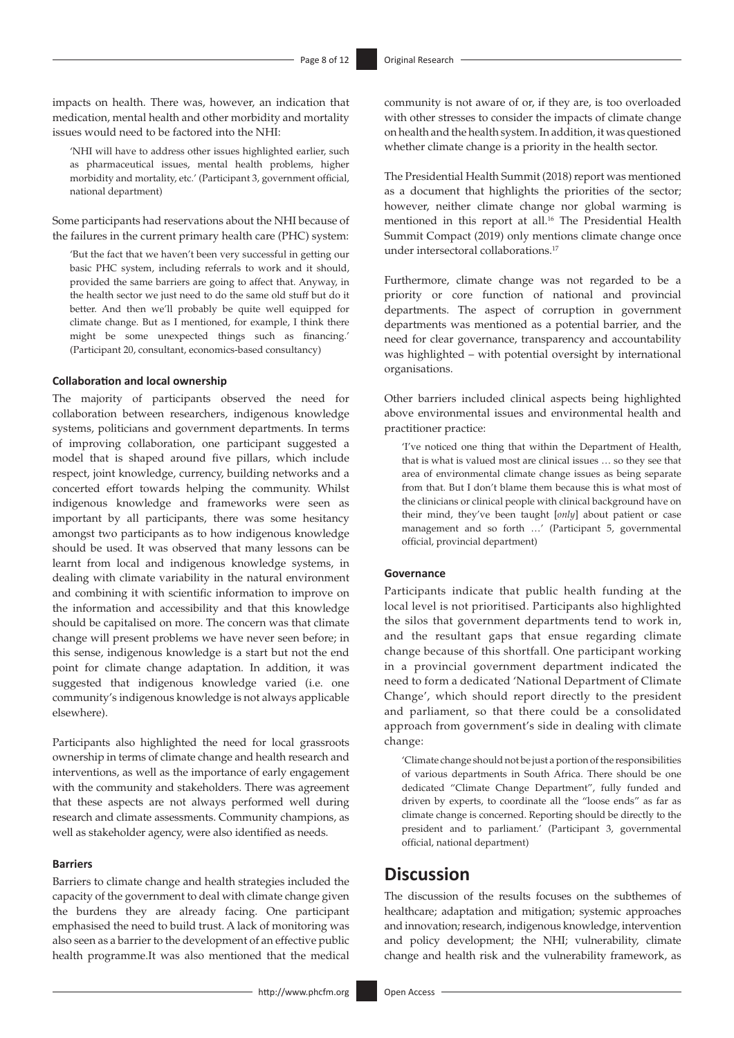impacts on health. There was, however, an indication that medication, mental health and other morbidity and mortality issues would need to be factored into the NHI:

'NHI will have to address other issues highlighted earlier, such as pharmaceutical issues, mental health problems, higher morbidity and mortality, etc.' (Participant 3, government official, national department)

Some participants had reservations about the NHI because of the failures in the current primary health care (PHC) system:

'But the fact that we haven't been very successful in getting our basic PHC system, including referrals to work and it should, provided the same barriers are going to affect that. Anyway, in the health sector we just need to do the same old stuff but do it better. And then we'll probably be quite well equipped for climate change. But as I mentioned, for example, I think there might be some unexpected things such as financing.' (Participant 20, consultant, economics-based consultancy)

#### **Collaboration and local ownership**

The majority of participants observed the need for collaboration between researchers, indigenous knowledge systems, politicians and government departments. In terms of improving collaboration, one participant suggested a model that is shaped around five pillars, which include respect, joint knowledge, currency, building networks and a concerted effort towards helping the community. Whilst indigenous knowledge and frameworks were seen as important by all participants, there was some hesitancy amongst two participants as to how indigenous knowledge should be used. It was observed that many lessons can be learnt from local and indigenous knowledge systems, in dealing with climate variability in the natural environment and combining it with scientific information to improve on the information and accessibility and that this knowledge should be capitalised on more. The concern was that climate change will present problems we have never seen before; in this sense, indigenous knowledge is a start but not the end point for climate change adaptation. In addition, it was suggested that indigenous knowledge varied (i.e. one community's indigenous knowledge is not always applicable elsewhere).

Participants also highlighted the need for local grassroots ownership in terms of climate change and health research and interventions, as well as the importance of early engagement with the community and stakeholders. There was agreement that these aspects are not always performed well during research and climate assessments. Community champions, as well as stakeholder agency, were also identified as needs.

#### **Barriers**

Barriers to climate change and health strategies included the capacity of the government to deal with climate change given the burdens they are already facing. One participant emphasised the need to build trust. A lack of monitoring was also seen as a barrier to the development of an effective public health [programme.It](http://programme.It) was also mentioned that the medical

community is not aware of or, if they are, is too overloaded with other stresses to consider the impacts of climate change on health and the health system. In addition, it was questioned whether climate change is a priority in the health sector.

<span id="page-7-0"></span>The Presidential Health Summit (2018) report was mentioned as a document that highlights the priorities of the sector; however, neither climate change nor global warming is mentioned in this report at all[.16](#page-10-15) The Presidential Health Summit Compact (2019) only mentions climate change once under intersectoral collaborations[.17](#page-10-16)

<span id="page-7-1"></span>Furthermore, climate change was not regarded to be a priority or core function of national and provincial departments. The aspect of corruption in government departments was mentioned as a potential barrier, and the need for clear governance, transparency and accountability was highlighted – with potential oversight by international organisations.

Other barriers included clinical aspects being highlighted above environmental issues and environmental health and practitioner practice:

'I've noticed one thing that within the Department of Health, that is what is valued most are clinical issues … so they see that area of environmental climate change issues as being separate from that. But I don't blame them because this is what most of the clinicians or clinical people with clinical background have on their mind, they've been taught [*only*] about patient or case management and so forth …' (Participant 5, governmental official, provincial department)

#### **Governance**

Participants indicate that public health funding at the local level is not prioritised. Participants also highlighted the silos that government departments tend to work in, and the resultant gaps that ensue regarding climate change because of this shortfall. One participant working in a provincial government department indicated the need to form a dedicated 'National Department of Climate Change', which should report directly to the president and parliament, so that there could be a consolidated approach from government's side in dealing with climate change:

'Climate change should not be just a portion of the responsibilities of various departments in South Africa. There should be one dedicated "Climate Change Department", fully funded and driven by experts, to coordinate all the "loose ends" as far as climate change is concerned. Reporting should be directly to the president and to parliament.' (Participant 3, governmental official, national department)

# **Discussion**

The discussion of the results focuses on the subthemes of healthcare; adaptation and mitigation; systemic approaches and innovation; research, indigenous knowledge, intervention and policy development; the NHI; vulnerability, climate change and health risk and the vulnerability framework, as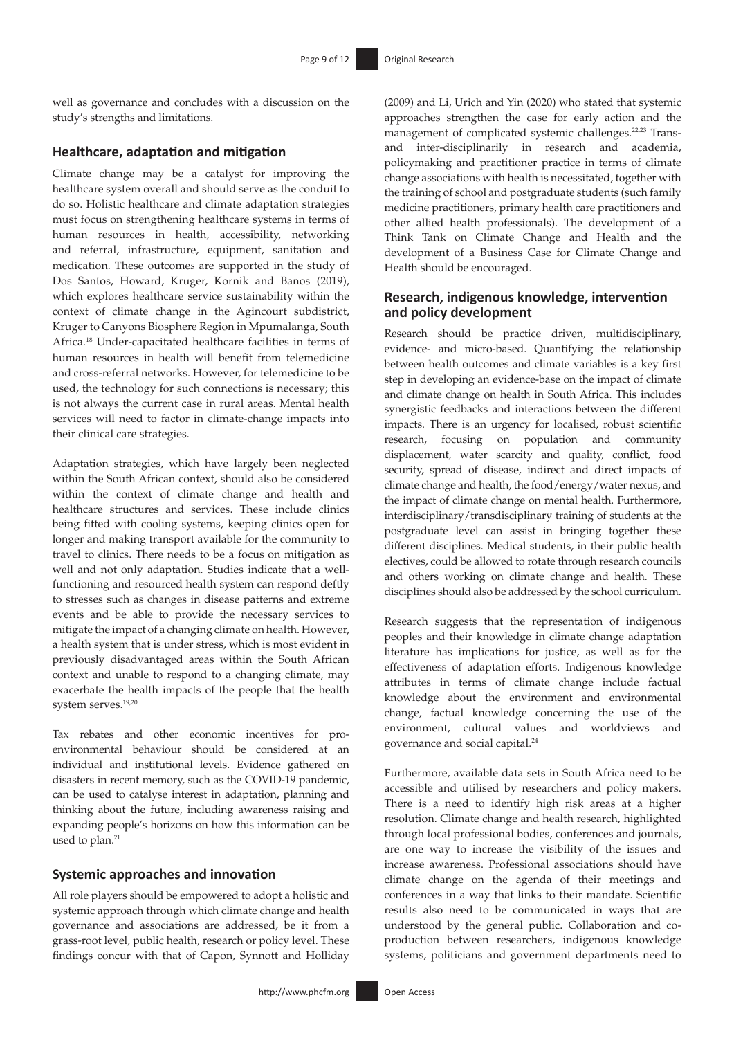well as governance and concludes with a discussion on the study's strengths and limitations.

#### **Healthcare, adaptation and mitigation**

Climate change may be a catalyst for improving the healthcare system overall and should serve as the conduit to do so. Holistic healthcare and climate adaptation strategies must focus on strengthening healthcare systems in terms of human resources in health, accessibility, networking and referral, infrastructure, equipment, sanitation and medication. These outcome*s* are supported in the study of Dos Santos, Howard, Kruger, Kornik and Banos (2019), which explores healthcare service sustainability within the context of climate change in the Agincourt subdistrict, Kruger to Canyons Biosphere Region in Mpumalanga, South Africa.[18](#page-10-17) Under-capacitated healthcare facilities in terms of human resources in health will benefit from telemedicine and cross-referral networks. However, for telemedicine to be used, the technology for such connections is necessary; this is not always the current case in rural areas. Mental health services will need to factor in climate-change impacts into their clinical care strategies.

<span id="page-8-0"></span>Adaptation strategies, which have largely been neglected within the South African context, should also be considered within the context of climate change and health and healthcare structures and services. These include clinics being fitted with cooling systems, keeping clinics open for longer and making transport available for the community to travel to clinics. There needs to be a focus on mitigation as well and not only adaptation. Studies indicate that a wellfunctioning and resourced health system can respond deftly to stresses such as changes in disease patterns and extreme events and be able to provide the necessary services to mitigate the impact of a changing climate on health. However, a health system that is under stress, which is most evident in previously disadvantaged areas within the South African context and unable to respond to a changing climate, may exacerbate the health impacts of the people that the health system serves.[19](#page-10-18)[,20](#page-10-19)

<span id="page-8-2"></span><span id="page-8-1"></span>Tax rebates and other economic incentives for proenvironmental behaviour should be considered at an individual and institutional levels. Evidence gathered on disasters in recent memory, such as the COVID-19 pandemic, can be used to catalyse interest in adaptation, planning and thinking about the future, including awareness raising and expanding people's horizons on how this information can be used to plan.<sup>[21](#page-10-20)</sup>

#### <span id="page-8-3"></span>**Systemic approaches and innovation**

All role players should be empowered to adopt a holistic and systemic approach through which climate change and health governance and associations are addressed, be it from a grass-root level, public health, research or policy level. These findings concur with that of Capon, Synnott and Holliday <span id="page-8-5"></span><span id="page-8-4"></span>(2009) and Li, Urich and Yin (2020) who stated that systemic approaches strengthen the case for early action and the management of complicated systemic challenges.<sup>[22](#page-10-21)[,23](#page-10-22)</sup> Transand inter-disciplinarily in research and academia, policymaking and practitioner practice in terms of climate change associations with health is necessitated, together with the training of school and postgraduate students (such family medicine practitioners, primary health care practitioners and other allied health professionals). The development of a Think Tank on Climate Change and Health and the development of a Business Case for Climate Change and Health should be encouraged.

#### **Research, indigenous knowledge, intervention and policy development**

Research should be practice driven, multidisciplinary, evidence- and micro-based. Quantifying the relationship between health outcomes and climate variables is a key first step in developing an evidence-base on the impact of climate and climate change on health in South Africa. This includes synergistic feedbacks and interactions between the different impacts. There is an urgency for localised, robust scientific research, focusing on population and community displacement, water scarcity and quality, conflict, food security, spread of disease, indirect and direct impacts of climate change and health, the food/energy/water nexus, and the impact of climate change on mental health. Furthermore, interdisciplinary/transdisciplinary training of students at the postgraduate level can assist in bringing together these different disciplines. Medical students, in their public health electives, could be allowed to rotate through research councils and others working on climate change and health. These disciplines should also be addressed by the school curriculum.

Research suggests that the representation of indigenous peoples and their knowledge in climate change adaptation literature has implications for justice, as well as for the effectiveness of adaptation efforts. Indigenous knowledge attributes in terms of climate change include factual knowledge about the environment and environmental change, factual knowledge concerning the use of the environment, cultural values and worldviews and governance and social capital[.24](#page-10-23)

<span id="page-8-6"></span>Furthermore, available data sets in South Africa need to be accessible and utilised by researchers and policy makers. There is a need to identify high risk areas at a higher resolution. Climate change and health research, highlighted through local professional bodies, conferences and journals, are one way to increase the visibility of the issues and increase awareness. Professional associations should have climate change on the agenda of their meetings and conferences in a way that links to their mandate. Scientific results also need to be communicated in ways that are understood by the general public. Collaboration and coproduction between researchers, indigenous knowledge systems, politicians and government departments need to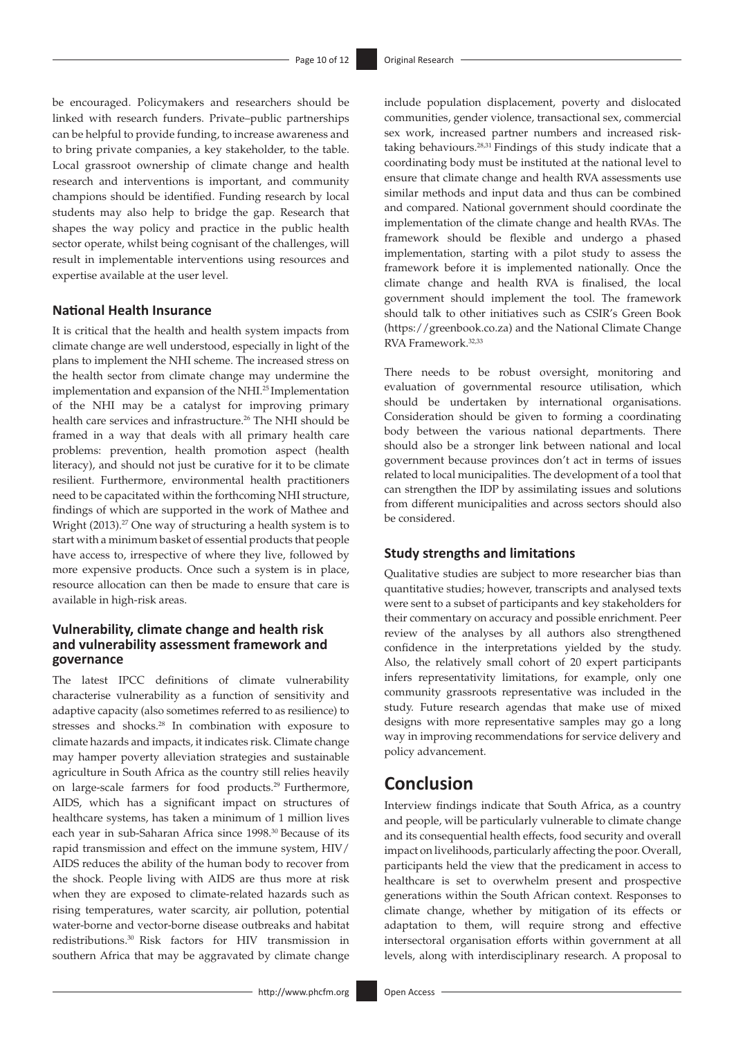be encouraged. Policymakers and researchers should be linked with research funders. Private–public partnerships can be helpful to provide funding, to increase awareness and to bring private companies, a key stakeholder, to the table. Local grassroot ownership of climate change and health research and interventions is important, and community champions should be identified. Funding research by local students may also help to bridge the gap. Research that shapes the way policy and practice in the public health sector operate, whilst being cognisant of the challenges, will result in implementable interventions using resources and expertise available at the user level.

#### **National Health Insurance**

<span id="page-9-1"></span><span id="page-9-0"></span>It is critical that the health and health system impacts from climate change are well understood, especially in light of the plans to implement the NHI scheme. The increased stress on the health sector from climate change may undermine the implementation and expansion of the NHI[.25](#page-10-24) Implementation of the NHI may be a catalyst for improving primary health care services and infrastructure.<sup>[26](#page-10-25)</sup> The NHI should be framed in a way that deals with all primary health care problems: prevention, health promotion aspect (health literacy), and should not just be curative for it to be climate resilient. Furthermore, environmental health practitioners need to be capacitated within the forthcoming NHI structure, findings of which are supported in the work of Mathee and Wright  $(2013).<sup>27</sup>$  $(2013).<sup>27</sup>$  $(2013).<sup>27</sup>$  One way of structuring a health system is to start with a minimum basket of essential products that people have access to, irrespective of where they live, followed by more expensive products. Once such a system is in place, resource allocation can then be made to ensure that care is available in high-risk areas.

#### <span id="page-9-2"></span>**Vulnerability, climate change and health risk and vulnerability assessment framework and governance**

<span id="page-9-5"></span><span id="page-9-4"></span><span id="page-9-3"></span>The latest IPCC definitions of climate vulnerability characterise vulnerability as a function of sensitivity and adaptive capacity (also sometimes referred to as resilience) to stresses and shocks.[28](#page-11-1) In combination with exposure to climate hazards and impacts, it indicates risk. Climate change may hamper poverty alleviation strategies and sustainable agriculture in South Africa as the country still relies heavily on large-scale farmers for food products.[29](#page-11-2) Furthermore, AIDS, which has a significant impact on structures of healthcare systems, has taken a minimum of 1 million lives each year in sub-Saharan Africa since 1998[.30](#page-11-3) Because of its rapid transmission and effect on the immune system, HIV/ AIDS reduces the ability of the human body to recover from the shock. People living with AIDS are thus more at risk when they are exposed to climate-related hazards such as rising temperatures, water scarcity, air pollution, potential water-borne and vector-borne disease outbreaks and habitat redistributions[.30](#page-11-3) Risk factors for HIV transmission in southern Africa that may be aggravated by climate change

<span id="page-9-6"></span>include population displacement, poverty and dislocated communities, gender violence, transactional sex, commercial sex work, increased partner numbers and increased risktaking behaviours[.28](#page-11-1),[31](#page-11-4) Findings of this study indicate that a coordinating body must be instituted at the national level to ensure that climate change and health RVA assessments use similar methods and input data and thus can be combined and compared. National government should coordinate the implementation of the climate change and health RVAs. The framework should be flexible and undergo a phased implementation, starting with a pilot study to assess the framework before it is implemented nationally. Once the climate change and health RVA is finalised, the local government should implement the tool. The framework should talk to other initiatives such as CSIR's Green Book ([https://greenbook.co.za\)](https://greenbook.co.za) and the National Climate Change RVA Framework[.32](#page-11-5),[33](#page-11-6)

<span id="page-9-8"></span><span id="page-9-7"></span>There needs to be robust oversight, monitoring and evaluation of governmental resource utilisation, which should be undertaken by international organisations. Consideration should be given to forming a coordinating body between the various national departments. There should also be a stronger link between national and local government because provinces don't act in terms of issues related to local municipalities. The development of a tool that can strengthen the IDP by assimilating issues and solutions from different municipalities and across sectors should also be considered.

#### **Study strengths and limitations**

Qualitative studies are subject to more researcher bias than quantitative studies; however, transcripts and analysed texts were sent to a subset of participants and key stakeholders for their commentary on accuracy and possible enrichment. Peer review of the analyses by all authors also strengthened confidence in the interpretations yielded by the study. Also, the relatively small cohort of 20 expert participants infers representativity limitations, for example, only one community grassroots representative was included in the study. Future research agendas that make use of mixed designs with more representative samples may go a long way in improving recommendations for service delivery and policy advancement.

### **Conclusion**

Interview findings indicate that South Africa, as a country and people, will be particularly vulnerable to climate change and its consequential health effects, food security and overall impact on livelihoods, particularly affecting the poor. Overall, participants held the view that the predicament in access to healthcare is set to overwhelm present and prospective generations within the South African context. Responses to climate change, whether by mitigation of its effects or adaptation to them, will require strong and effective intersectoral organisation efforts within government at all levels, along with interdisciplinary research. A proposal to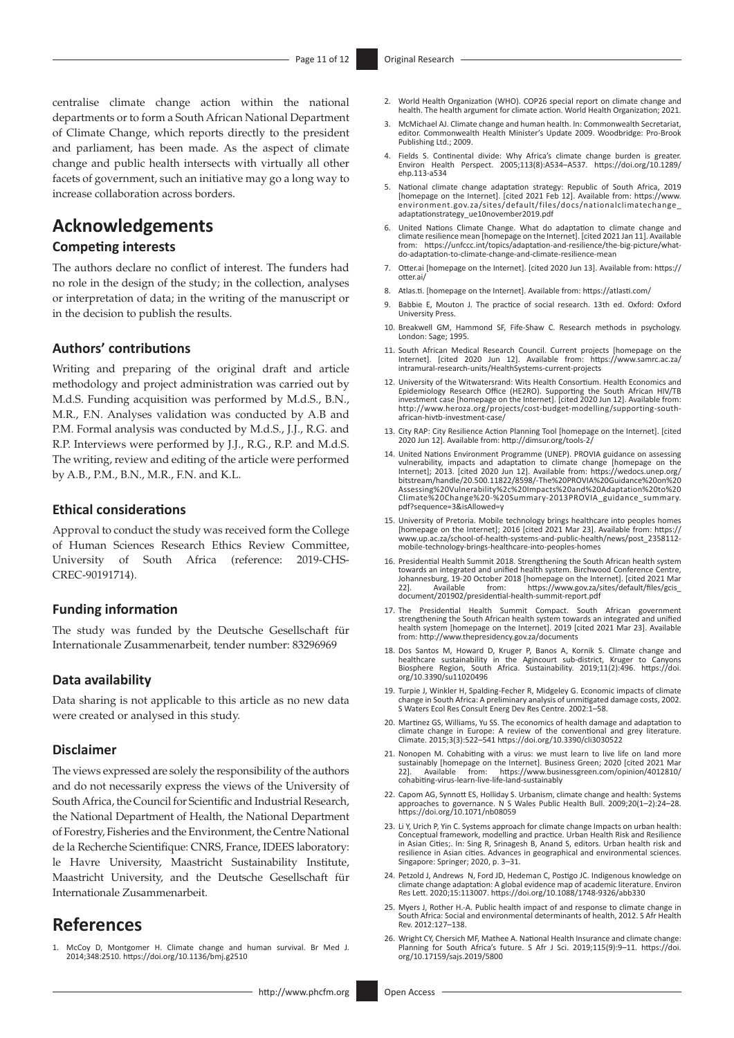centralise climate change action within the national departments or to form a South African National Department of Climate Change, which reports directly to the president and parliament, has been made. As the aspect of climate change and public health intersects with virtually all other facets of government, such an initiative may go a long way to increase collaboration across borders.

## **Acknowledgements**

#### **Competing interests**

The authors declare no conflict of interest. The funders had no role in the design of the study; in the collection, analyses or interpretation of data; in the writing of the manuscript or in the decision to publish the results.

#### **Authors' contributions**

Writing and preparing of the original draft and article methodology and project administration was carried out by M.d.S. Funding acquisition was performed by M.d.S., B.N., M.R., F.N. Analyses validation was conducted by A.B and P.M. Formal analysis was conducted by M.d.S., J.J., R.G. and R.P. Interviews were performed by J.J., R.G., R.P. and M.d.S. The writing, review and editing of the article were performed by A.B., P.M., B.N., M.R., F.N. and K.L.

#### **Ethical considerations**

Approval to conduct the study was received form the College of Human Sciences Research Ethics Review Committee, University of South Africa (reference: 2019-CHS-CREC-90191714).

#### **Funding information**

The study was funded by the Deutsche Gesellschaft für Internationale Zusammenarbeit, tender number: 83296969

#### **Data availability**

Data sharing is not applicable to this article as no new data were created or analysed in this study.

#### **Disclaimer**

The views expressed are solely the responsibility of the authors and do not necessarily express the views of the University of South Africa, the Council for Scientific and Industrial Research, the National Department of Health, the National Department of Forestry, Fisheries and the Environment, the Centre National de la Recherche Scientifique: CNRS, France, IDEES laboratory: le Havre University, Maastricht Sustainability Institute, Maastricht University, and the Deutsche Gesellschaft für Internationale Zusammenarbeit.

### **References**

<span id="page-10-0"></span>[1.](#page-0-0) McCoy D, Montgomer H. Climate change and human survival. Br Med J. 2014;348:2510. <https://doi.org/10.1136/bmj.g2510>

- <span id="page-10-1"></span>[2.](#page-0-1) World Health Organization (WHO). COP26 special report on climate change and health. The health argument for climate action. World Health Organization; 2021.
- <span id="page-10-2"></span>[3.](#page-1-0) McMichael AJ. Climate change and human health. In: Commonwealth Secretariat, editor. Commonwealth Health Minister's Update 2009. Woodbridge: Pro-Brook Publishing Ltd.; 2009.
- <span id="page-10-3"></span>[4.](#page-1-1) Fields S. Continental divide: Why Africa's climate change burden is greater. Environ Health Perspect. 2005;113(8):A534–A537. [https://doi.org/10.1289/](https://doi.org/10.1289/ehp.113-a534) [ehp.113-a534](https://doi.org/10.1289/ehp.113-a534)
- <span id="page-10-4"></span>[5.](#page-1-2) National climate change adaptation strategy: Republic of South Africa, 2019 [homepage on the Internet]. [cited 2021 Feb 12]. Available from: [https://www.](https://www.environment.gov.za/sites/default/files/docs/nationalclimatechange_adaptationstrategy_ue10november2019.pdf) [environment.gov.za/sites/default/files/docs/nationalclimatechange\\_](https://www.environment.gov.za/sites/default/files/docs/nationalclimatechange_adaptationstrategy_ue10november2019.pdf) [adaptationstrategy\\_ue10november2019.pdf](https://www.environment.gov.za/sites/default/files/docs/nationalclimatechange_adaptationstrategy_ue10november2019.pdf)
- <span id="page-10-5"></span>[6.](#page-1-3) United Nations Climate Change. What do adaptation to climate change and climate resilience mean [homepage on the Internet]. [cited 2021 Jan 11]. Available from: [https://unfccc.int/topics/adaptation-and-resilience/the-big-picture/what](https://unfccc.int/topics/adaptation-and-resilience/the-big-picture/what-do-adaptation-to-climate-change-and-climate-resilience-mean)[do-adaptation-to-climate-change-and-climate-resilience-mean](https://unfccc.int/topics/adaptation-and-resilience/the-big-picture/what-do-adaptation-to-climate-change-and-climate-resilience-mean)
- <span id="page-10-6"></span>[7.](#page-1-4) [Otter.ai](http://Otter.ai) [homepage on the Internet]. [cited 2020 Jun 13]. Available from: [https://](https://otter.ai/) [otter.ai/](https://otter.ai/)
- <span id="page-10-7"></span>[8.](#page-1-5) [Atlas.ti.](http://Atlas.ti) [homepage on the Internet]. Available from: <https://atlasti.com/>
- <span id="page-10-8"></span>[9.](#page-1-6) Babbie E, Mouton J. The practice of social research. 13th ed. Oxford: Oxford University Press.
- <span id="page-10-9"></span>[10.](#page-1-7) Breakwell GM, Hammond SF, Fife-Shaw C. Research methods in psychology. London: Sage; 1995.
- <span id="page-10-10"></span>[11.](#page-5-0) South African Medical Research Council. Current projects [homepage on the Internet]. [cited 2020 Jun 12]. Available from: [https://www.samrc.ac.za/](https://www.samrc.ac.za/intramural-research-units/HealthSystems-current-projects) [intramural-research-units/HealthSystems-current-projects](https://www.samrc.ac.za/intramural-research-units/HealthSystems-current-projects)
- <span id="page-10-11"></span>[12.](#page-5-1) University of the Witwatersrand: Wits Health Consortium. Health Economics and Epidemiology Research Office (HE2RO). Supporting the South African HIV/TB investment case [homepage on the Internet]. [cited 2020 Jun 12]. Available from: [http://www.heroza.org/projects/cost-budget-modelling/supporting-south](http://www.heroza.org/projects/cost-budget-modelling/supporting-south-african-hivtb-investment-case/)[african-hivtb-investment-case/](http://www.heroza.org/projects/cost-budget-modelling/supporting-south-african-hivtb-investment-case/)
- <span id="page-10-12"></span>[13.](#page-6-0) City RAP: City Resilience Action Planning Tool [homepage on the Internet]. [cited 2020 Jun 12]. Available from:<http://dimsur.org/tools-2/>
- <span id="page-10-13"></span>[14.](#page-6-1) United Nations Environment Programme (UNEP). PROVIA guidance on assessing vulnerability, impacts and adaptation to climate change [homepage on the Internet]; 2013. [cited 2020 Jun 12]. Available from: [https://wedocs.unep.org/](https://wedocs.unep.org/bitstream/handle/20.500.11822/8598/-The%20PROVIA%20Guidance%20on%20Assessing%20Vulnerability%2c%20Impacts%20and%20Adaptation%20to%20Climate%20Change%20-%20Summary-2013PROVIA_guidance_summary.pdf?sequence=3&isAllowed=y) [bitstream/handle/20.500.11822/8598/-The%20PROVIA%20Guidance%20on%20](https://wedocs.unep.org/bitstream/handle/20.500.11822/8598/-The%20PROVIA%20Guidance%20on%20Assessing%20Vulnerability%2c%20Impacts%20and%20Adaptation%20to%20Climate%20Change%20-%20Summary-2013PROVIA_guidance_summary.pdf?sequence=3&isAllowed=y) [Assessing%20Vulnerability%2c%20Impacts%20and%20Adaptation%20to%20](https://wedocs.unep.org/bitstream/handle/20.500.11822/8598/-The%20PROVIA%20Guidance%20on%20Assessing%20Vulnerability%2c%20Impacts%20and%20Adaptation%20to%20Climate%20Change%20-%20Summary-2013PROVIA_guidance_summary.pdf?sequence=3&isAllowed=y) [Climate%20Change%20-%20Summary-2013PROVIA\\_guidance\\_summary.](https://wedocs.unep.org/bitstream/handle/20.500.11822/8598/-The%20PROVIA%20Guidance%20on%20Assessing%20Vulnerability%2c%20Impacts%20and%20Adaptation%20to%20Climate%20Change%20-%20Summary-2013PROVIA_guidance_summary.pdf?sequence=3&isAllowed=y) [pdf?sequence=3&isAllowed=y](https://wedocs.unep.org/bitstream/handle/20.500.11822/8598/-The%20PROVIA%20Guidance%20on%20Assessing%20Vulnerability%2c%20Impacts%20and%20Adaptation%20to%20Climate%20Change%20-%20Summary-2013PROVIA_guidance_summary.pdf?sequence=3&isAllowed=y)
- <span id="page-10-14"></span>[15.](#page-6-2) University of Pretoria. Mobile technology brings healthcare into peoples homes [homepage on the Internet]; 2016 [cited 2021 Mar 23]. Available from: [https://](https://www.up.ac.za/school-of-health-systems-and-public-health/news/post_2358112-mobile-technology-brings-healthcare-into-peoples-homes) [www.up.ac.za/school-of-health-systems-and-public-health/news/post\\_2358112](https://www.up.ac.za/school-of-health-systems-and-public-health/news/post_2358112-mobile-technology-brings-healthcare-into-peoples-homes) [mobile-technology-brings-healthcare-into-peoples-homes](https://www.up.ac.za/school-of-health-systems-and-public-health/news/post_2358112-mobile-technology-brings-healthcare-into-peoples-homes)
- <span id="page-10-15"></span>[16.](#page-7-0) Presidential Health Summit 2018. Strengthening the South African health system towards an integrated and unified health system. Birchwood Conference Centre,<br>Johannesburg, 19-20 October 2018 [homepage on the Internet]. [cited 2021 Mar<br>22]. Available from: https://www.go Johannessung, 19920 October 2016 [hom:<br>22]. Available from: https://www.gov.za/s<br>[document/201902/presidential-health-summit-report.pdf](https://www.gov.za/sites/default/files/gcis_document/201902/presidential-health-summit-report.pdf)
- <span id="page-10-16"></span>[17.](#page-7-1) The Presidential Health Summit Compact. South African government strengthening the South African health system towards an integrated and unified health system [homepage on the Internet]. 2019 [cited 2021 Mar 23]. Available from:<http://www.thepresidency.gov.za/documents>
- <span id="page-10-17"></span>[18.](#page-8-0) Dos Santos M, Howard D, Kruger P, Banos A, Kornik S. Climate change and healthcare sustainability in the Agincourt sub-district, Kruger to Canyons Biosphere Region, South Africa. Sustainability. 2019;11(2):496. [https://doi.](https://doi.org/10.3390/su11020496) [org/10.3390/su11020496](https://doi.org/10.3390/su11020496)
- <span id="page-10-18"></span>[19.](#page-8-1) Turpie J, Winkler H, Spalding-Fecher R, Midgeley G. Economic impacts of climate change in South Africa: A preliminary analysis of unmitigated damage costs, 2002. S Waters Ecol Res Consult Energ Dev Res Centre. 2002:1–58.
- <span id="page-10-19"></span>[20.](#page-8-2) Martinez GS, Williams, Yu SS. The economics of health damage and adaptation to climate change in Europe: A review of the conventional and grey literature. Climate. 2015;3(3):522–541 [https://doi.org/10.3390/cli3030522](https://doi.org/10.3390/cli3030522 )
- <span id="page-10-20"></span>[21.](#page-8-3) Nonopen M. Cohabiting with a virus: we must learn to live life on land more sustainably [homepage on the Internet]. Business Green; 2020 [cited 2021 Mar 22]. Available from: [https://www.businessgreen.com/opinion/4012810/](https://www.businessgreen.com/opinion/4012810/cohabiting-virus-learn-live-life-land-sustainably) zol. Available from: https://www.busii<br>[cohabiting-virus-learn-live-life-land-sustainably](https://www.businessgreen.com/opinion/4012810/cohabiting-virus-learn-live-life-land-sustainably)
- <span id="page-10-21"></span>[22.](#page-8-4) Capom AG, Synnott ES, Holliday S. Urbanism, climate change and health: Systems approaches to governance. N S Wales Public Health Bull. 2009;20(1–2):24–28. <https://doi.org/10.1071/nb08059>
- <span id="page-10-22"></span>[23.](#page-8-5) Li Y, Urich P, Yin C. Systems approach for climate change Impacts on urban health: Conceptual framework, modelling and practice. Urban Health Risk and Resilience in Asian Cities;. In: Sing R, Srinagesh B, Anand S, editors. Urban health risk and resilience in Asian cities. Advances in geographical and environmental sciences. Singapore: Springer; 2020, p. 3–31.
- <span id="page-10-23"></span>[24.](#page-8-6) Petzold J, Andrews N, Ford JD, Hedeman C, Postigo JC. Indigenous knowledge on climate change adaptation: A global evidence map of academic literature. Environ Res Lett. 2020;15:113007.<https://doi.org/10.1088/1748-9326/abb330>
- <span id="page-10-24"></span>[25.](#page-9-0) Myers J, Rother H.-A. Public health impact of and response to climate change in South Africa: Social and environmental determinants of health, 2012. S Afr Health Rev. 2012:127–138.
- <span id="page-10-25"></span>[26.](#page-9-1) Wright CY, Chersich MF, Mathee A. National Health Insurance and climate change: Planning for South Africa's future. S Afr J Sci. 2019;115(9):9–11. [https://doi.](https://doi.org/10.17159/sajs.2019/5800) [org/10.17159/sajs.2019/5800](https://doi.org/10.17159/sajs.2019/5800)